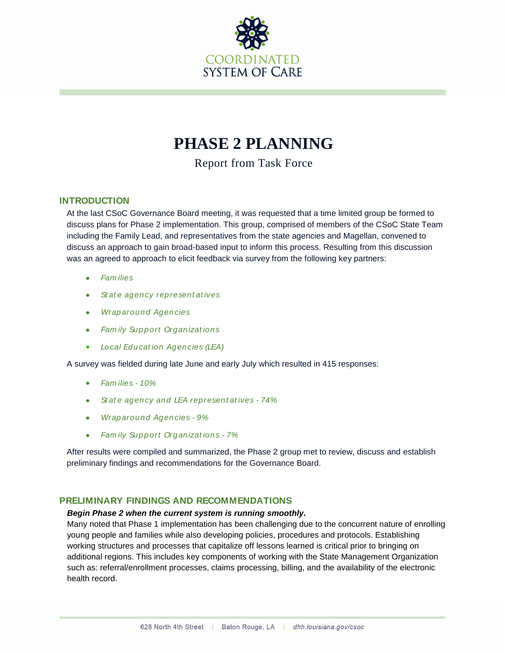

# **PHASE 2 PLANNING**

Report from Task Force

# **INTRODUCTION**

At the last CSoC Governance Board meeting, it was requested that a time limited group be formed to discuss plans for Phase 2 implementation. This group, comprised of members of the CSoC State Team including the Family Lead, and representatives from the state agencies and Magellan, convened to discuss an approach to gain broad-based input to inform this process. Resulting from this discussion was an agreed to approach to elicit feedback via survey from the following key partners:

- *Fam ilies*
- $\bullet$ *St at e agency represent at ives*
- *Wraparound Agen cies*  $\bullet$
- *Fam ily Sup port Organizat ions*  $\bullet$
- *Local Edu cat ion Agen cies (LEA)*

A survey was fielded during late June and early July which resulted in 415 responses:

- *Fam ilies - 10%*
- *St at e agency and LEA represent at ives - 74%*
- *Wraparound Agen cies - 9%*  $\bullet$
- *Fam ily Sup port Organizat ions - 7%*

After results were compiled and summarized, the Phase 2 group met to review, discuss and establish preliminary findings and recommendations for the Governance Board.

#### **PRELIMINARY FINDINGS AND RECOMMENDATIONS**

#### *Begin Phase 2 when the current system is running smoothly.*

Many noted that Phase 1 implementation has been challenging due to the concurrent nature of enrolling young people and families while also developing policies, procedures and protocols. Establishing working structures and processes that capitalize off lessons learned is critical prior to bringing on additional regions. This includes key components of working with the State Management Organization such as: referral/enrollment processes, claims processing, billing, and the availability of the electronic health record.